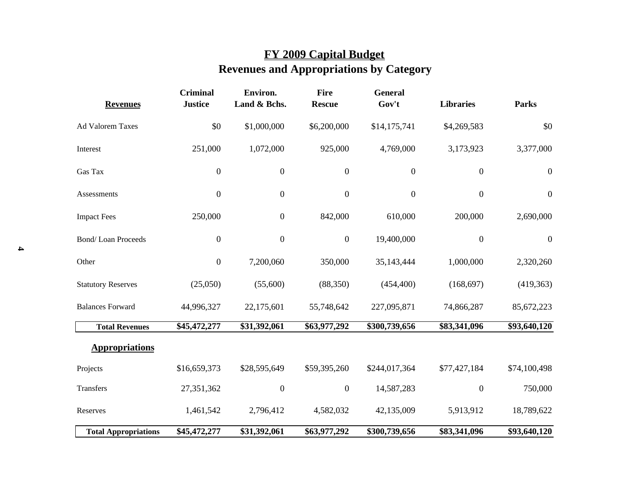## **FY 2009 Capital Budget Revenues and Appropriations by Category**

| <b>Revenues</b>             | <b>Criminal</b><br><b>Justice</b> | Environ.<br>Land & Bchs. | <b>Fire</b><br><b>Rescue</b> | <b>General</b><br>Gov't | <b>Libraries</b> | <b>Parks</b>     |
|-----------------------------|-----------------------------------|--------------------------|------------------------------|-------------------------|------------------|------------------|
| <b>Ad Valorem Taxes</b>     | \$0                               | \$1,000,000              | \$6,200,000                  | \$14,175,741            | \$4,269,583      | \$0              |
| Interest                    | 251,000                           | 1,072,000                | 925,000                      | 4,769,000               | 3,173,923        | 3,377,000        |
| Gas Tax                     | $\boldsymbol{0}$                  | $\boldsymbol{0}$         | $\boldsymbol{0}$             | $\boldsymbol{0}$        | $\boldsymbol{0}$ | $\boldsymbol{0}$ |
| Assessments                 | $\boldsymbol{0}$                  | $\boldsymbol{0}$         | $\boldsymbol{0}$             | $\boldsymbol{0}$        | $\boldsymbol{0}$ | $\boldsymbol{0}$ |
| <b>Impact Fees</b>          | 250,000                           | $\boldsymbol{0}$         | 842,000                      | 610,000                 | 200,000          | 2,690,000        |
| <b>Bond/Loan Proceeds</b>   | $\boldsymbol{0}$                  | $\boldsymbol{0}$         | $\boldsymbol{0}$             | 19,400,000              | $\boldsymbol{0}$ | $\boldsymbol{0}$ |
| Other                       | $\boldsymbol{0}$                  | 7,200,060                | 350,000                      | 35,143,444              | 1,000,000        | 2,320,260        |
| <b>Statutory Reserves</b>   | (25,050)                          | (55,600)                 | (88,350)                     | (454, 400)              | (168, 697)       | (419, 363)       |
| <b>Balances Forward</b>     | 44,996,327                        | 22,175,601               | 55,748,642                   | 227,095,871             | 74,866,287       | 85,672,223       |
| <b>Total Revenues</b>       | \$45,472,277                      | \$31,392,061             | \$63,977,292                 | \$300,739,656           | \$83,341,096     | \$93,640,120     |
| <b>Appropriations</b>       |                                   |                          |                              |                         |                  |                  |
| Projects                    | \$16,659,373                      | \$28,595,649             | \$59,395,260                 | \$244,017,364           | \$77,427,184     | \$74,100,498     |
| Transfers                   | 27,351,362                        | $\boldsymbol{0}$         | $\boldsymbol{0}$             | 14,587,283              | $\boldsymbol{0}$ | 750,000          |
| Reserves                    | 1,461,542                         | 2,796,412                | 4,582,032                    | 42,135,009              | 5,913,912        | 18,789,622       |
| <b>Total Appropriations</b> | \$45,472,277                      | \$31,392,061             | \$63,977,292                 | \$300,739,656           | \$83,341,096     | \$93,640,120     |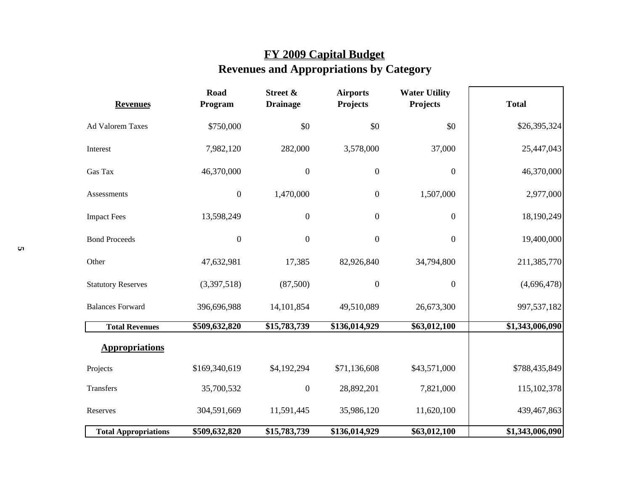## **FY 2009 Capital Budget Revenues and Appropriations by Category**

| <b>Revenues</b>             | <b>Road</b><br>Street &<br><b>Airports</b><br><b>Water Utility</b><br>Projects<br><b>Drainage</b><br>Projects<br>Program |                  | <b>Total</b>     |                  |                 |
|-----------------------------|--------------------------------------------------------------------------------------------------------------------------|------------------|------------------|------------------|-----------------|
| Ad Valorem Taxes            | \$750,000                                                                                                                | \$0              | \$0              | \$0              | \$26,395,324    |
| Interest                    | 7,982,120                                                                                                                | 282,000          | 3,578,000        | 37,000           | 25,447,043      |
| Gas Tax                     | 46,370,000                                                                                                               | $\boldsymbol{0}$ | $\boldsymbol{0}$ | $\boldsymbol{0}$ | 46,370,000      |
| Assessments                 | $\boldsymbol{0}$                                                                                                         | 1,470,000        | $\overline{0}$   | 1,507,000        | 2,977,000       |
| <b>Impact Fees</b>          | 13,598,249                                                                                                               | $\boldsymbol{0}$ | $\boldsymbol{0}$ | $\boldsymbol{0}$ | 18,190,249      |
| <b>Bond Proceeds</b>        | $\boldsymbol{0}$                                                                                                         | $\boldsymbol{0}$ | $\mathbf{0}$     | $\mathbf{0}$     | 19,400,000      |
| Other                       | 47,632,981                                                                                                               | 17,385           | 82,926,840       | 34,794,800       | 211,385,770     |
| <b>Statutory Reserves</b>   | (3,397,518)                                                                                                              | (87,500)         | $\boldsymbol{0}$ | $\boldsymbol{0}$ | (4,696,478)     |
| <b>Balances Forward</b>     | 396,696,988                                                                                                              | 14,101,854       | 49,510,089       | 26,673,300       | 997,537,182     |
| <b>Total Revenues</b>       | \$509,632,820                                                                                                            | \$15,783,739     | \$136,014,929    | \$63,012,100     | \$1,343,006,090 |
| <b>Appropriations</b>       |                                                                                                                          |                  |                  |                  |                 |
| Projects                    | \$169,340,619                                                                                                            | \$4,192,294      | \$71,136,608     | \$43,571,000     | \$788,435,849   |
| Transfers                   | 35,700,532                                                                                                               | $\boldsymbol{0}$ | 28,892,201       | 7,821,000        | 115,102,378     |
| Reserves                    | 304,591,669                                                                                                              | 11,591,445       | 35,986,120       | 11,620,100       | 439,467,863     |
| <b>Total Appropriations</b> | \$509,632,820                                                                                                            | \$15,783,739     | \$136,014,929    | \$63,012,100     | \$1,343,006,090 |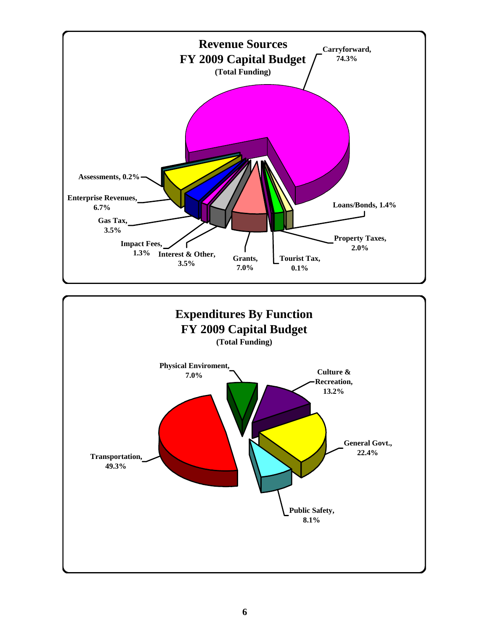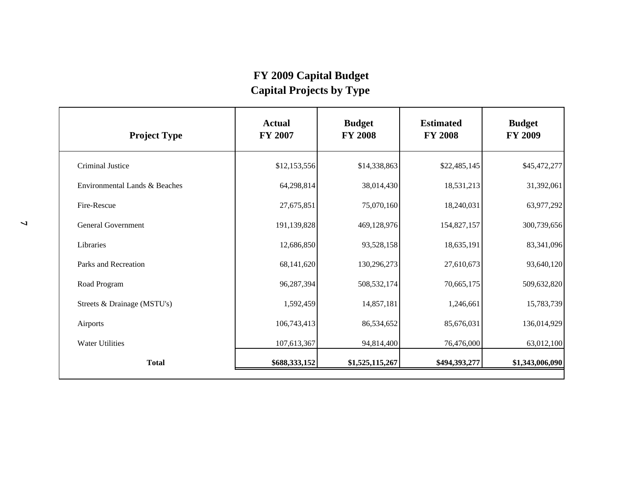## **FY 2009 Capital Budget Capital Projects by Type**

| <b>Project Type</b>           | <b>Actual</b><br><b>FY 2007</b> | <b>Budget</b><br><b>FY 2008</b> | <b>Estimated</b><br><b>FY 2008</b> | <b>Budget</b><br><b>FY 2009</b> |  |
|-------------------------------|---------------------------------|---------------------------------|------------------------------------|---------------------------------|--|
| <b>Criminal Justice</b>       | \$12,153,556                    | \$14,338,863                    | \$22,485,145                       | \$45,472,277                    |  |
| Environmental Lands & Beaches | 64,298,814                      | 38,014,430                      | 18,531,213                         | 31,392,061                      |  |
| Fire-Rescue                   | 27,675,851                      | 75,070,160                      | 18,240,031                         | 63,977,292                      |  |
| <b>General Government</b>     | 191,139,828                     | 469,128,976                     | 154,827,157                        | 300,739,656                     |  |
| Libraries                     | 12,686,850                      | 93,528,158                      | 18,635,191                         | 83,341,096                      |  |
| Parks and Recreation          | 68,141,620                      | 130,296,273                     | 27,610,673                         | 93,640,120                      |  |
| Road Program                  | 96,287,394                      | 508,532,174                     | 70,665,175                         | 509,632,820                     |  |
| Streets & Drainage (MSTU's)   | 1,592,459                       | 14,857,181                      | 1,246,661                          | 15,783,739                      |  |
| Airports                      | 106,743,413                     | 86,534,652                      | 85,676,031                         | 136,014,929                     |  |
| <b>Water Utilities</b>        | 107,613,367                     | 94,814,400                      | 76,476,000                         | 63,012,100                      |  |
| <b>Total</b>                  | \$688,333,152                   | \$1,525,115,267                 | \$494,393,277                      | \$1,343,006,090                 |  |